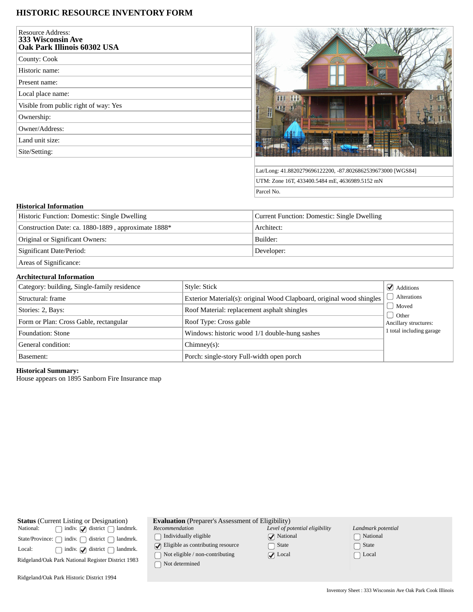# **HISTORIC RESOURCE INVENTORY FORM**

| <b>Resource Address:</b><br><b>333 Wisconsin Ave</b><br>Oak Park Illinois 60302 USA |  |
|-------------------------------------------------------------------------------------|--|
| County: Cook                                                                        |  |
| Historic name:                                                                      |  |
| Present name:                                                                       |  |
| Local place name:                                                                   |  |
| Visible from public right of way: Yes                                               |  |
| Ownership:                                                                          |  |
| Owner/Address:                                                                      |  |
| Land unit size:                                                                     |  |
| Site/Setting:                                                                       |  |



Lat/Long: 41.8820279696122200, -87.8026862539673000 [WGS84] UTM: Zone 16T, 433400.5484 mE, 4636989.5152 mN Parcel No.

#### **Historical Information**

| Historic Function: Domestic: Single Dwelling        | Current Function: Domestic: Single Dwelling |  |
|-----------------------------------------------------|---------------------------------------------|--|
| Construction Date: ca. 1880-1889, approximate 1888* | Architect:                                  |  |
| Original or Significant Owners:                     | Builder:                                    |  |
| Significant Date/Period:                            | Developer:                                  |  |
|                                                     |                                             |  |

Areas of Significance:

## **Architectural Information**

| Category: building, Single-family residence | Style: Stick                                                          | $\blacktriangleright$ Additions |
|---------------------------------------------|-----------------------------------------------------------------------|---------------------------------|
| Structural: frame                           | Exterior Material(s): original Wood Clapboard, original wood shingles | Alterations                     |
| Stories: 2, Bays:                           | Roof Material: replacement asphalt shingles                           | Moved                           |
| Form or Plan: Cross Gable, rectangular      | Roof Type: Cross gable                                                | Other<br>Ancillary structures:  |
| Foundation: Stone                           | Windows: historic wood 1/1 double-hung sashes                         | 1 total including garage        |
| General condition:                          | $Chimney(s)$ :                                                        |                                 |
| Basement:                                   | Porch: single-story Full-width open porch                             |                                 |

#### **Historical Summary:**

House appears on 1895 Sanborn Fire Insurance map

| <b>Status</b> (Current Listing or Designation) |                                                                        |  |  |
|------------------------------------------------|------------------------------------------------------------------------|--|--|
| National:                                      | $\Box$ indiv. $\Box$ district $\Box$ landmrk.                          |  |  |
|                                                | State/Province: $\bigcap$ indiv. $\bigcap$ district $\bigcap$ landmrk. |  |  |
| Local:                                         | $\Box$ indiv. $\Box$ district $\Box$ landmrk.                          |  |  |
|                                                | Ridgeland/Oak Park National Register District 1983                     |  |  |
|                                                |                                                                        |  |  |

|  | <b>Evaluation</b> (Preparer's Assessment of Eligibility) |  |
|--|----------------------------------------------------------|--|
|--|----------------------------------------------------------|--|

*Recommendation*  $\hfill\textstyle\bigcap\textstyle\textstyle\bigcap\textstyle\textstyle\bigcap\textstyle\textstyle\textstyle\bigcap\textstyle\textstyle\bigcap\textstyle\textstyle\big$ 

 $\bigcirc$  Eligible as contributing resource  $\hfill\Box$  Not eligible / non-contributing

 $\hfill\Box$ <br> <br> Not determined

| Level of potential eligibility |
|--------------------------------|
| $\sqrt{\phantom{a}}$ National  |
| $\Box$ State                   |
| $\sqrt{\phantom{a}}$ Local     |

| Landmark potential         |
|----------------------------|
| □ National                 |
| $\lceil \ \rceil$ State    |
| $\lceil \;\; \rceil$ Local |

Ridgeland/Oak Park Historic District 1994